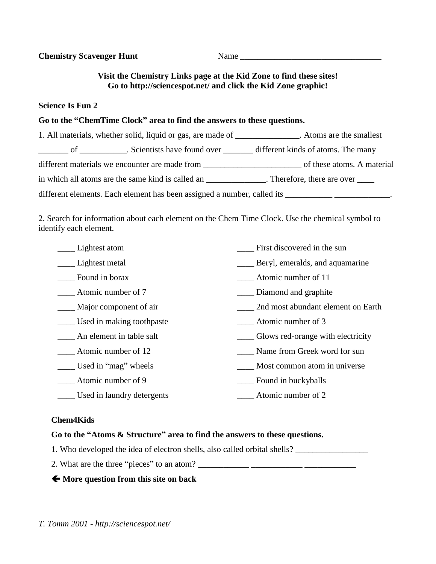| <b>Chemistry Scavenger Hunt</b> | Name                                                                |  |
|---------------------------------|---------------------------------------------------------------------|--|
|                                 | Visit the Chemistry Links page at the Kid Zone to find these sites! |  |

## **Go to http://sciencespot.net/ and click the Kid Zone graphic!**

### **Science Is Fun 2**

# **Go to the "ChemTime Clock" area to find the answers to these questions.**

| 1. All materials, whether solid, liquid or gas, are made of _____________. Atoms are the smallest |                             |
|---------------------------------------------------------------------------------------------------|-----------------------------|
|                                                                                                   |                             |
| different materials we encounter are made from                                                    | of these atoms. A material  |
| in which all atoms are the same kind is called an                                                 | . Therefore, there are over |
| different elements. Each element has been assigned a number, called its                           |                             |

2. Search for information about each element on the Chem Time Clock. Use the chemical symbol to identify each element.

| Lightest atom              | First discovered in the sun        |
|----------------------------|------------------------------------|
| Lightest metal             | Beryl, emeralds, and aquamarine    |
| Found in borax             | Atomic number of 11                |
| Atomic number of 7         | Diamond and graphite               |
| Major component of air     | 2nd most abundant element on Earth |
| Used in making toothpaste  | Atomic number of 3                 |
| An element in table salt   | Glows red-orange with electricity  |
| Atomic number of 12        | Name from Greek word for sun       |
| Used in "mag" wheels       | _ Most common atom in universe     |
| Atomic number of 9         | Found in buckyballs                |
| Used in laundry detergents | Atomic number of 2                 |
|                            |                                    |

### **Chem4Kids**

## **Go to the "Atoms & Structure" area to find the answers to these questions.**

- 1. Who developed the idea of electron shells, also called orbital shells? \_\_\_\_\_\_\_\_\_\_\_\_\_\_\_\_\_
- 2. What are the three "pieces" to an atom? \_\_\_\_\_\_\_\_\_\_\_\_ \_\_\_\_\_\_\_\_\_\_\_\_ \_\_\_\_\_\_\_\_\_\_\_\_

# **More question from this site on back**